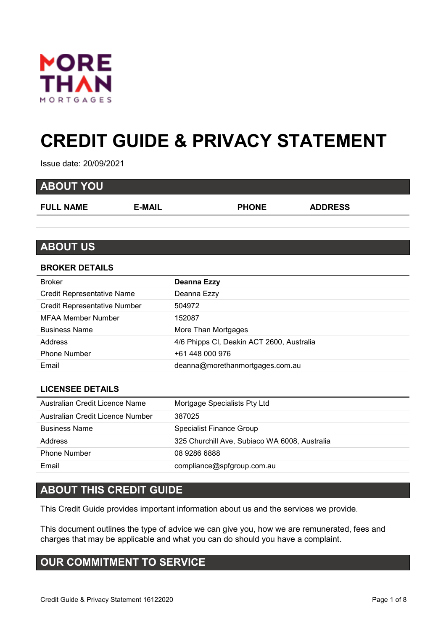

# **CREDIT GUIDE & PRIVACY STATEMENT**

Issue date: 20/09/2021

| <b>ABOUT YOU</b> |        |              |                |
|------------------|--------|--------------|----------------|
| <b>FULL NAME</b> | E-MAIL | <b>PHONE</b> | <b>ADDRESS</b> |
|                  |        |              |                |
|                  |        |              |                |

## **ABOUT US**

#### **BROKER DETAILS**

| <b>Broker</b>                       | <b>Deanna Ezzy</b>                        |
|-------------------------------------|-------------------------------------------|
| <b>Credit Representative Name</b>   | Deanna Ezzy                               |
| <b>Credit Representative Number</b> | 504972                                    |
| MFAA Member Number                  | 152087                                    |
| <b>Business Name</b>                | More Than Mortgages                       |
| <b>Address</b>                      | 4/6 Phipps CI, Deakin ACT 2600, Australia |
| <b>Phone Number</b>                 | +61 448 000 976                           |
| Email                               | deanna@morethanmortgages.com.au           |
|                                     |                                           |

#### **LICENSEE DETAILS**

| Australian Credit Licence Name   | Mortgage Specialists Pty Ltd                  |
|----------------------------------|-----------------------------------------------|
| Australian Credit Licence Number | 387025                                        |
| <b>Business Name</b>             | Specialist Finance Group                      |
| Address                          | 325 Churchill Ave, Subiaco WA 6008, Australia |
| <b>Phone Number</b>              | 08 9286 6888                                  |
| Email                            | compliance@spfgroup.com.au                    |

## **ABOUT THIS CREDIT GUIDE**

This Credit Guide provides important information about us and the services we provide.

This document outlines the type of advice we can give you, how we are remunerated, fees and charges that may be applicable and what you can do should you have a complaint.

# **OUR COMMITMENT TO SERVICE**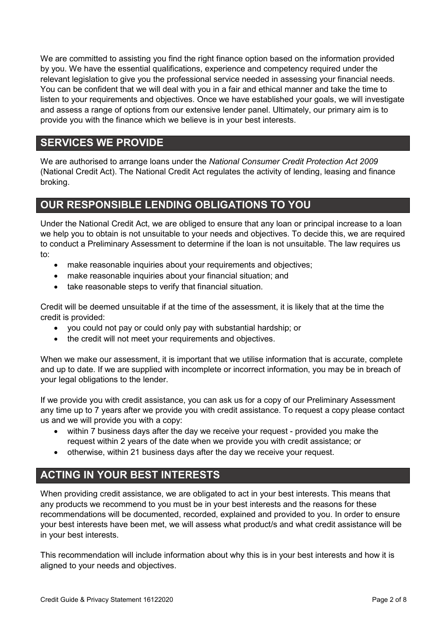We are committed to assisting you find the right finance option based on the information provided by you. We have the essential qualifications, experience and competency required under the relevant legislation to give you the professional service needed in assessing your financial needs. You can be confident that we will deal with you in a fair and ethical manner and take the time to listen to your requirements and objectives. Once we have established your goals, we will investigate and assess a range of options from our extensive lender panel. Ultimately, our primary aim is to provide you with the finance which we believe is in your best interests.

# **SERVICES WE PROVIDE**

We are authorised to arrange loans under the *National Consumer Credit Protection Act 2009* (National Credit Act). The National Credit Act regulates the activity of lending, leasing and finance broking.

## **OUR RESPONSIBLE LENDING OBLIGATIONS TO YOU**

Under the National Credit Act, we are obliged to ensure that any loan or principal increase to a loan we help you to obtain is not unsuitable to your needs and objectives. To decide this, we are required to conduct a Preliminary Assessment to determine if the loan is not unsuitable. The law requires us to:

- make reasonable inquiries about your requirements and objectives;
- make reasonable inquiries about your financial situation; and
- take reasonable steps to verify that financial situation.

Credit will be deemed unsuitable if at the time of the assessment, it is likely that at the time the credit is provided:

- you could not pay or could only pay with substantial hardship; or
- the credit will not meet your requirements and objectives.

When we make our assessment, it is important that we utilise information that is accurate, complete and up to date. If we are supplied with incomplete or incorrect information, you may be in breach of your legal obligations to the lender.

If we provide you with credit assistance, you can ask us for a copy of our Preliminary Assessment any time up to 7 years after we provide you with credit assistance. To request a copy please contact us and we will provide you with a copy:

- within 7 business days after the day we receive your request provided you make the request within 2 years of the date when we provide you with credit assistance; or
- otherwise, within 21 business days after the day we receive your request.

# **ACTING IN YOUR BEST INTERESTS**

When providing credit assistance, we are obligated to act in your best interests. This means that any products we recommend to you must be in your best interests and the reasons for these recommendations will be documented, recorded, explained and provided to you. In order to ensure your best interests have been met, we will assess what product/s and what credit assistance will be in your best interests.

This recommendation will include information about why this is in your best interests and how it is aligned to your needs and objectives.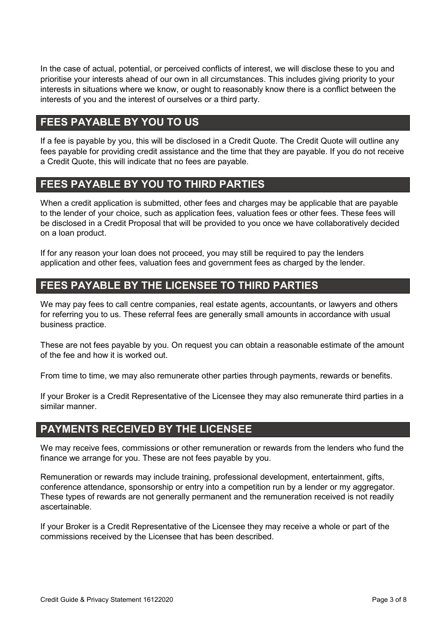In the case of actual, potential, or perceived conflicts of interest, we will disclose these to you and prioritise your interests ahead of our own in all circumstances. This includes giving priority to your interests in situations where we know, or ought to reasonably know there is a conflict between the interests of you and the interest of ourselves or a third party.

## **FEES PAYABLE BY YOU TO US**

If a fee is payable by you, this will be disclosed in a Credit Quote. The Credit Quote will outline any fees payable for providing credit assistance and the time that they are payable. If you do not receive a Credit Quote, this will indicate that no fees are payable.

## **FEES PAYABLE BY YOU TO THIRD PARTIES**

When a credit application is submitted, other fees and charges may be applicable that are payable to the lender of your choice, such as application fees, valuation fees or other fees. These fees will be disclosed in a Credit Proposal that will be provided to you once we have collaboratively decided on a loan product.

If for any reason your loan does not proceed, you may still be required to pay the lenders application and other fees, valuation fees and government fees as charged by the lender.

# **FEES PAYABLE BY THE LICENSEE TO THIRD PARTIES**

We may pay fees to call centre companies, real estate agents, accountants, or lawyers and others for referring you to us. These referral fees are generally small amounts in accordance with usual business practice.

These are not fees payable by you. On request you can obtain a reasonable estimate of the amount of the fee and how it is worked out.

From time to time, we may also remunerate other parties through payments, rewards or benefits.

If your Broker is a Credit Representative of the Licensee they may also remunerate third parties in a similar manner.

# **PAYMENTS RECEIVED BY THE LICENSEE**

We may receive fees, commissions or other remuneration or rewards from the lenders who fund the finance we arrange for you. These are not fees payable by you.

Remuneration or rewards may include training, professional development, entertainment, gifts, conference attendance, sponsorship or entry into a competition run by a lender or my aggregator. These types of rewards are not generally permanent and the remuneration received is not readily ascertainable.

If your Broker is a Credit Representative of the Licensee they may receive a whole or part of the commissions received by the Licensee that has been described.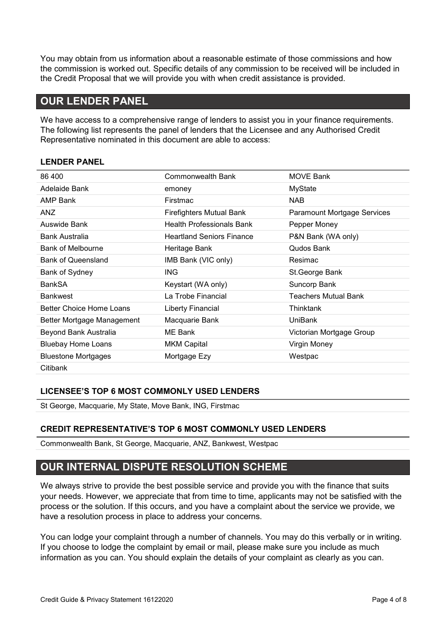You may obtain from us information about a reasonable estimate of those commissions and how the commission is worked out. Specific details of any commission to be received will be included in the Credit Proposal that we will provide you with when credit assistance is provided.

# **OUR LENDER PANEL**

We have access to a comprehensive range of lenders to assist you in your finance requirements. The following list represents the panel of lenders that the Licensee and any Authorised Credit Representative nominated in this document are able to access:

#### **LENDER PANEL**

| 86 400                     | Commonwealth Bank                | <b>MOVE Bank</b>                   |
|----------------------------|----------------------------------|------------------------------------|
| Adelaide Bank              | emoney                           | MyState                            |
| <b>AMP Bank</b>            | Firstmac                         | <b>NAB</b>                         |
| ANZ                        | <b>Firefighters Mutual Bank</b>  | <b>Paramount Mortgage Services</b> |
| Auswide Bank               | <b>Health Professionals Bank</b> | Pepper Money                       |
| Bank Australia             | <b>Heartland Seniors Finance</b> | P&N Bank (WA only)                 |
| <b>Bank of Melbourne</b>   | Heritage Bank                    | Qudos Bank                         |
| <b>Bank of Queensland</b>  | IMB Bank (VIC only)              | Resimac                            |
| Bank of Sydney             | <b>ING</b>                       | St.George Bank                     |
| BankSA                     | Keystart (WA only)               | Suncorp Bank                       |
| Bankwest                   | La Trobe Financial               | <b>Teachers Mutual Bank</b>        |
| Better Choice Home Loans   | Liberty Financial                | Thinktank                          |
| Better Mortgage Management | Macquarie Bank                   | <b>UniBank</b>                     |
| Beyond Bank Australia      | ME Bank                          | Victorian Mortgage Group           |
| <b>Bluebay Home Loans</b>  | <b>MKM Capital</b>               | Virgin Money                       |
| <b>Bluestone Mortgages</b> | Mortgage Ezy                     | Westpac                            |
| <b>Citibank</b>            |                                  |                                    |

#### **LICENSEE'S TOP 6 MOST COMMONLY USED LENDERS**

St George, Macquarie, My State, Move Bank, ING, Firstmac

#### **CREDIT REPRESENTATIVE'S TOP 6 MOST COMMONLY USED LENDERS**

Commonwealth Bank, St George, Macquarie, ANZ, Bankwest, Westpac

## **OUR INTERNAL DISPUTE RESOLUTION SCHEME**

We always strive to provide the best possible service and provide you with the finance that suits your needs. However, we appreciate that from time to time, applicants may not be satisfied with the process or the solution. If this occurs, and you have a complaint about the service we provide, we have a resolution process in place to address your concerns.

You can lodge your complaint through a number of channels. You may do this verbally or in writing. If you choose to lodge the complaint by email or mail, please make sure you include as much information as you can. You should explain the details of your complaint as clearly as you can.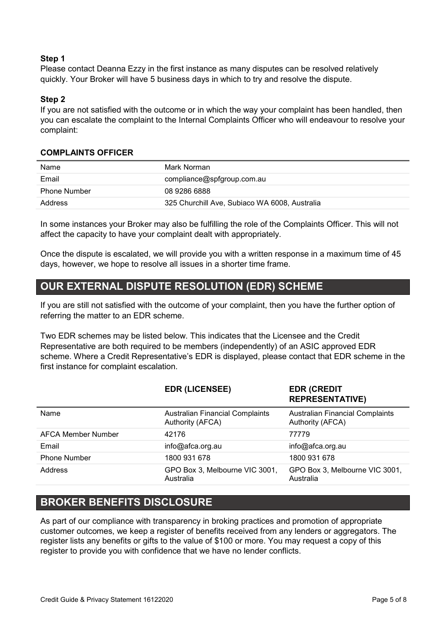#### **Step 1**

Please contact Deanna Ezzy in the first instance as many disputes can be resolved relatively quickly. Your Broker will have 5 business days in which to try and resolve the dispute.

#### **Step 2**

If you are not satisfied with the outcome or in which the way your complaint has been handled, then you can escalate the complaint to the Internal Complaints Officer who will endeavour to resolve your complaint:

#### **COMPLAINTS OFFICER**

| Name                | Mark Norman                                   |
|---------------------|-----------------------------------------------|
| Email               | compliance@spfgroup.com.au                    |
| <b>Phone Number</b> | 08 9286 6888                                  |
| Address             | 325 Churchill Ave, Subiaco WA 6008, Australia |

In some instances your Broker may also be fulfilling the role of the Complaints Officer. This will not affect the capacity to have your complaint dealt with appropriately.

Once the dispute is escalated, we will provide you with a written response in a maximum time of 45 days, however, we hope to resolve all issues in a shorter time frame.

## **OUR EXTERNAL DISPUTE RESOLUTION (EDR) SCHEME**

If you are still not satisfied with the outcome of your complaint, then you have the further option of referring the matter to an EDR scheme.

Two EDR schemes may be listed below. This indicates that the Licensee and the Credit Representative are both required to be members (independently) of an ASIC approved EDR scheme. Where a Credit Representative's EDR is displayed, please contact that EDR scheme in the first instance for complaint escalation.

|                     | <b>EDR (LICENSEE)</b>                                      | <b>EDR (CREDIT</b><br><b>REPRESENTATIVE)</b>               |
|---------------------|------------------------------------------------------------|------------------------------------------------------------|
| Name                | <b>Australian Financial Complaints</b><br>Authority (AFCA) | <b>Australian Financial Complaints</b><br>Authority (AFCA) |
| AFCA Member Number  | 42176                                                      | 77779                                                      |
| Email               | info@afca.org.au                                           | info@afca.org.au                                           |
| <b>Phone Number</b> | 1800 931 678                                               | 1800 931 678                                               |
| Address             | GPO Box 3, Melbourne VIC 3001,<br>Australia                | GPO Box 3, Melbourne VIC 3001,<br>Australia                |

## **BROKER BENEFITS DISCLOSURE**

As part of our compliance with transparency in broking practices and promotion of appropriate customer outcomes, we keep a register of benefits received from any lenders or aggregators. The register lists any benefits or gifts to the value of \$100 or more. You may request a copy of this register to provide you with confidence that we have no lender conflicts.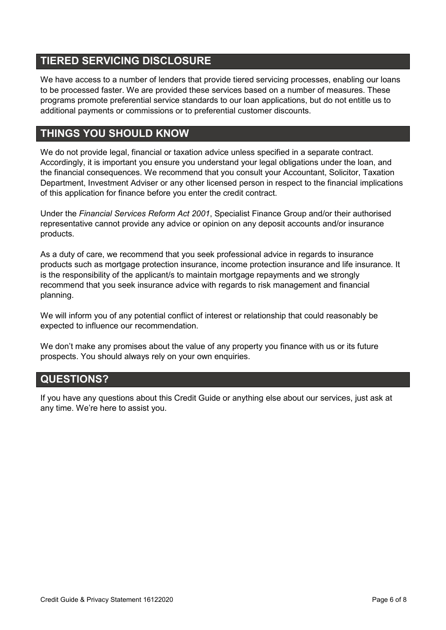# **TIERED SERVICING DISCLOSURE**

We have access to a number of lenders that provide tiered servicing processes, enabling our loans to be processed faster. We are provided these services based on a number of measures. These programs promote preferential service standards to our loan applications, but do not entitle us to additional payments or commissions or to preferential customer discounts.

# **THINGS YOU SHOULD KNOW**

We do not provide legal, financial or taxation advice unless specified in a separate contract. Accordingly, it is important you ensure you understand your legal obligations under the loan, and the financial consequences. We recommend that you consult your Accountant, Solicitor, Taxation Department, Investment Adviser or any other licensed person in respect to the financial implications of this application for finance before you enter the credit contract.

Under the *Financial Services Reform Act 2001*, Specialist Finance Group and/or their authorised representative cannot provide any advice or opinion on any deposit accounts and/or insurance products.

As a duty of care, we recommend that you seek professional advice in regards to insurance products such as mortgage protection insurance, income protection insurance and life insurance. It is the responsibility of the applicant/s to maintain mortgage repayments and we strongly recommend that you seek insurance advice with regards to risk management and financial planning.

We will inform you of any potential conflict of interest or relationship that could reasonably be expected to influence our recommendation.

We don't make any promises about the value of any property you finance with us or its future prospects. You should always rely on your own enquiries.

# **QUESTIONS?**

If you have any questions about this Credit Guide or anything else about our services, just ask at any time. We're here to assist you.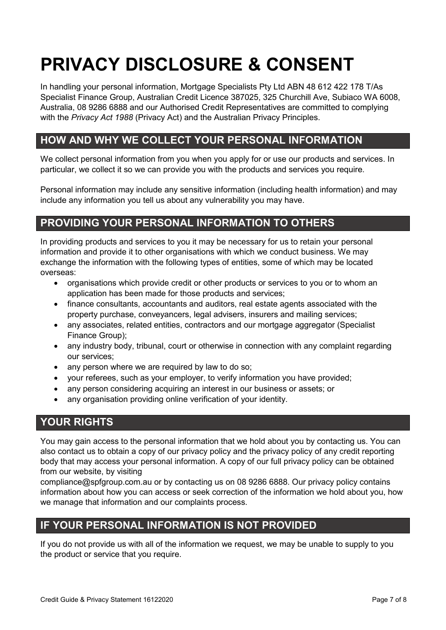# **PRIVACY DISCLOSURE & CONSENT**

In handling your personal information, Mortgage Specialists Pty Ltd ABN 48 612 422 178 T/As Specialist Finance Group, Australian Credit Licence 387025, 325 Churchill Ave, Subiaco WA 6008, Australia, 08 9286 6888 and our Authorised Credit Representatives are committed to complying with the *Privacy Act 1988* (Privacy Act) and the Australian Privacy Principles.

# **HOW AND WHY WE COLLECT YOUR PERSONAL INFORMATION**

We collect personal information from you when you apply for or use our products and services. In particular, we collect it so we can provide you with the products and services you require.

Personal information may include any sensitive information (including health information) and may include any information you tell us about any vulnerability you may have.

# **PROVIDING YOUR PERSONAL INFORMATION TO OTHERS**

In providing products and services to you it may be necessary for us to retain your personal information and provide it to other organisations with which we conduct business. We may exchange the information with the following types of entities, some of which may be located overseas:

- organisations which provide credit or other products or services to you or to whom an application has been made for those products and services;
- finance consultants, accountants and auditors, real estate agents associated with the property purchase, conveyancers, legal advisers, insurers and mailing services;
- any associates, related entities, contractors and our mortgage aggregator (Specialist Finance Group);
- any industry body, tribunal, court or otherwise in connection with any complaint regarding our services;
- any person where we are required by law to do so:
- your referees, such as your employer, to verify information you have provided;
- any person considering acquiring an interest in our business or assets; or
- any organisation providing online verification of your identity.

## **YOUR RIGHTS**

You may gain access to the personal information that we hold about you by contacting us. You can also contact us to obtain a copy of our privacy policy and the privacy policy of any credit reporting body that may access your personal information. A copy of our full privacy policy can be obtained from our website, by visiting

compliance@spfgroup.com.au or by contacting us on 08 9286 6888. Our privacy policy contains information about how you can access or seek correction of the information we hold about you, how we manage that information and our complaints process.

## **IF YOUR PERSONAL INFORMATION IS NOT PROVIDED**

If you do not provide us with all of the information we request, we may be unable to supply to you the product or service that you require.